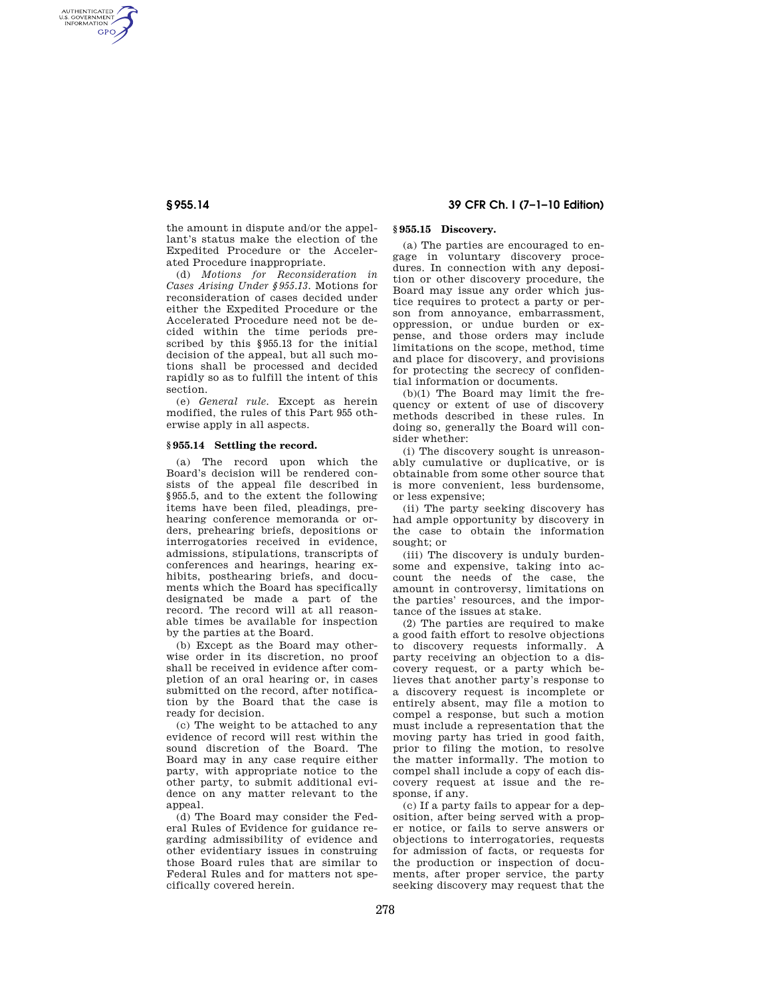AUTHENTICATED<br>U.S. GOVERNMENT<br>INFORMATION **GPO** 

> the amount in dispute and/or the appellant's status make the election of the Expedited Procedure or the Accelerated Procedure inappropriate.

> (d) *Motions for Reconsideration in Cases Arising Under §955.13.* Motions for reconsideration of cases decided under either the Expedited Procedure or the Accelerated Procedure need not be decided within the time periods prescribed by this §955.13 for the initial decision of the appeal, but all such motions shall be processed and decided rapidly so as to fulfill the intent of this section.

> (e) *General rule.* Except as herein modified, the rules of this Part 955 otherwise apply in all aspects.

# **§ 955.14 Settling the record.**

(a) The record upon which the Board's decision will be rendered consists of the appeal file described in §955.5, and to the extent the following items have been filed, pleadings, prehearing conference memoranda or orders, prehearing briefs, depositions or interrogatories received in evidence, admissions, stipulations, transcripts of conferences and hearings, hearing exhibits, posthearing briefs, and documents which the Board has specifically designated be made a part of the record. The record will at all reasonable times be available for inspection by the parties at the Board.

(b) Except as the Board may otherwise order in its discretion, no proof shall be received in evidence after completion of an oral hearing or, in cases submitted on the record, after notification by the Board that the case is ready for decision.

(c) The weight to be attached to any evidence of record will rest within the sound discretion of the Board. The Board may in any case require either party, with appropriate notice to the other party, to submit additional evidence on any matter relevant to the appeal.

(d) The Board may consider the Federal Rules of Evidence for guidance regarding admissibility of evidence and other evidentiary issues in construing those Board rules that are similar to Federal Rules and for matters not specifically covered herein.

# **§ 955.14 39 CFR Ch. I (7–1–10 Edition)**

# **§ 955.15 Discovery.**

(a) The parties are encouraged to engage in voluntary discovery procedures. In connection with any deposition or other discovery procedure, the Board may issue any order which justice requires to protect a party or person from annoyance, embarrassment, oppression, or undue burden or expense, and those orders may include limitations on the scope, method, time and place for discovery, and provisions for protecting the secrecy of confidential information or documents.

(b)(1) The Board may limit the frequency or extent of use of discovery methods described in these rules. In doing so, generally the Board will consider whether:

(i) The discovery sought is unreasonably cumulative or duplicative, or is obtainable from some other source that is more convenient, less burdensome, or less expensive;

(ii) The party seeking discovery has had ample opportunity by discovery in the case to obtain the information sought; or

(iii) The discovery is unduly burdensome and expensive, taking into account the needs of the case, the amount in controversy, limitations on the parties' resources, and the importance of the issues at stake.

(2) The parties are required to make a good faith effort to resolve objections to discovery requests informally. A party receiving an objection to a discovery request, or a party which believes that another party's response to a discovery request is incomplete or entirely absent, may file a motion to compel a response, but such a motion must include a representation that the moving party has tried in good faith, prior to filing the motion, to resolve the matter informally. The motion to compel shall include a copy of each discovery request at issue and the response, if any.

(c) If a party fails to appear for a deposition, after being served with a proper notice, or fails to serve answers or objections to interrogatories, requests for admission of facts, or requests for the production or inspection of documents, after proper service, the party seeking discovery may request that the